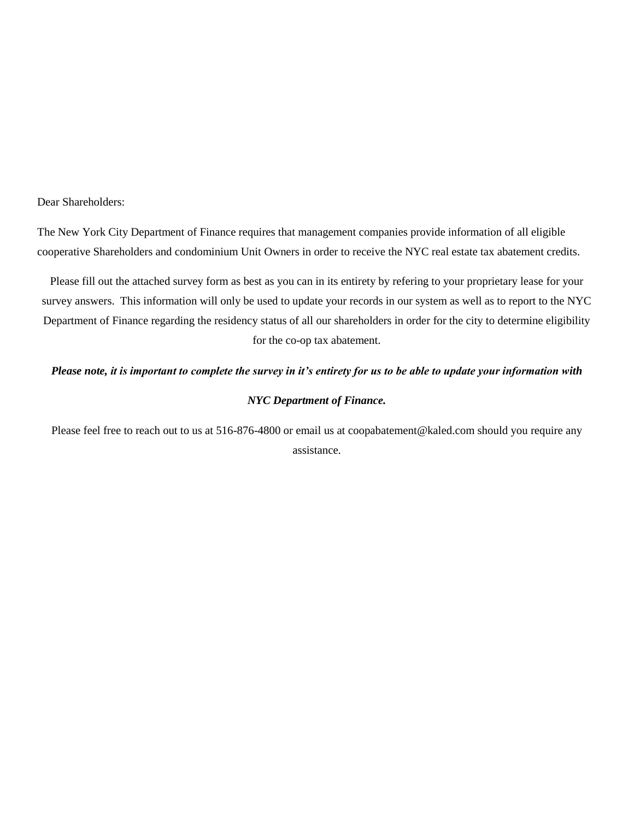#### Dear Shareholders:

The New York City Department of Finance requires that management companies provide information of all eligible cooperative Shareholders and condominium Unit Owners in order to receive the NYC real estate tax abatement credits.

Please fill out the attached survey form as best as you can in its entirety by refering to your proprietary lease for your survey answers. This information will only be used to update your records in our system as well as to report to the NYC Department of Finance regarding the residency status of all our shareholders in order for the city to determine eligibility for the co-op tax abatement.

### *Please note, it is important to complete the survey in it's entirety for us to be able to update your information with*

### *NYC Department of Finance.*

Please feel free to reach out to us at 516-876-4800 or email us at coopabatement@kaled.com should you require any assistance.